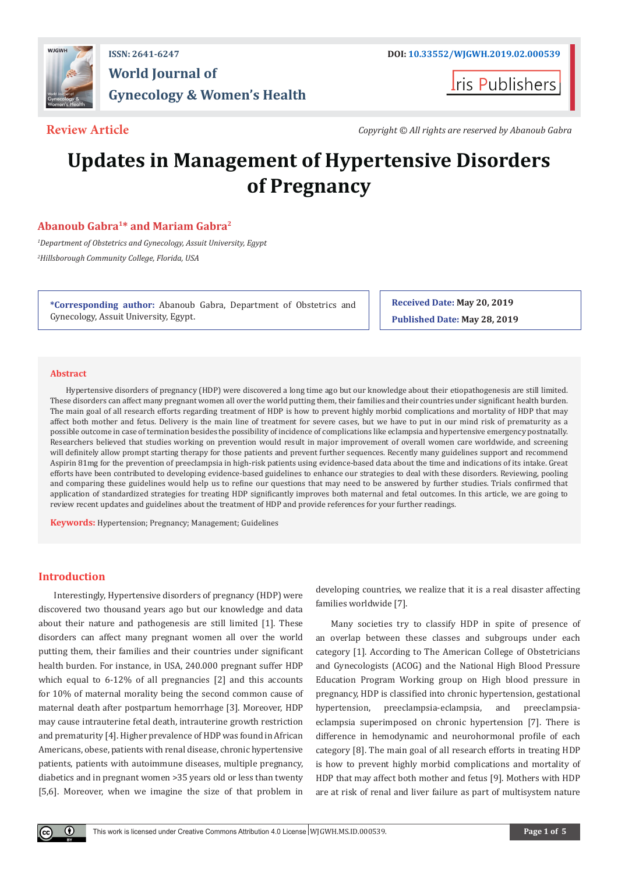

# **World Journal of Gynecology & Women's Health**

**Iris Publishers** 

**Review Article** *Copyright © All rights are reserved by Abanoub Gabra*

# **Updates in Management of Hypertensive Disorders of Pregnancy**

# **Abanoub Gabra1\* and Mariam Gabra2**

*1 Department of Obstetrics and Gynecology, Assuit University, Egypt 2 Hillsborough Community College, Florida, USA*

**\*Corresponding author:** Abanoub Gabra, Department of Obstetrics and Gynecology, Assuit University, Egypt.

**Received Date: May 20, 2019 Published Date: May 28, 2019**

# **Abstract**

Hypertensive disorders of pregnancy (HDP) were discovered a long time ago but our knowledge about their etiopathogenesis are still limited. These disorders can affect many pregnant women all over the world putting them, their families and their countries under significant health burden. The main goal of all research efforts regarding treatment of HDP is how to prevent highly morbid complications and mortality of HDP that may affect both mother and fetus. Delivery is the main line of treatment for severe cases, but we have to put in our mind risk of prematurity as a possible outcome in case of termination besides the possibility of incidence of complications like eclampsia and hypertensive emergency postnatally. Researchers believed that studies working on prevention would result in major improvement of overall women care worldwide, and screening will definitely allow prompt starting therapy for those patients and prevent further sequences. Recently many guidelines support and recommend Aspirin 81mg for the prevention of preeclampsia in high-risk patients using evidence-based data about the time and indications of its intake. Great efforts have been contributed to developing evidence-based guidelines to enhance our strategies to deal with these disorders. Reviewing, pooling and comparing these guidelines would help us to refine our questions that may need to be answered by further studies. Trials confirmed that application of standardized strategies for treating HDP significantly improves both maternal and fetal outcomes. In this article, we are going to review recent updates and guidelines about the treatment of HDP and provide references for your further readings.

**Keywords:** Hypertension; Pregnancy; Management; Guidelines

# **Introduction**

Interestingly, Hypertensive disorders of pregnancy (HDP) were discovered two thousand years ago but our knowledge and data about their nature and pathogenesis are still limited [1]. These disorders can affect many pregnant women all over the world putting them, their families and their countries under significant health burden. For instance, in USA, 240.000 pregnant suffer HDP which equal to 6-12% of all pregnancies [2] and this accounts for 10% of maternal morality being the second common cause of maternal death after postpartum hemorrhage [3]. Moreover, HDP may cause intrauterine fetal death, intrauterine growth restriction and prematurity [4]. Higher prevalence of HDP was found in African Americans, obese, patients with renal disease, chronic hypertensive patients, patients with autoimmune diseases, multiple pregnancy, diabetics and in pregnant women >35 years old or less than twenty [5,6]. Moreover, when we imagine the size of that problem in

developing countries, we realize that it is a real disaster affecting families worldwide [7].

Many societies try to classify HDP in spite of presence of an overlap between these classes and subgroups under each category [1]. According to The American College of Obstetricians and Gynecologists (ACOG) and the National High Blood Pressure Education Program Working group on High blood pressure in pregnancy, HDP is classified into chronic hypertension, gestational hypertension, preeclampsia-eclampsia, and preeclampsiaeclampsia superimposed on chronic hypertension [7]. There is difference in hemodynamic and neurohormonal profile of each category [8]. The main goal of all research efforts in treating HDP is how to prevent highly morbid complications and mortality of HDP that may affect both mother and fetus [9]. Mothers with HDP are at risk of renal and liver failure as part of multisystem nature

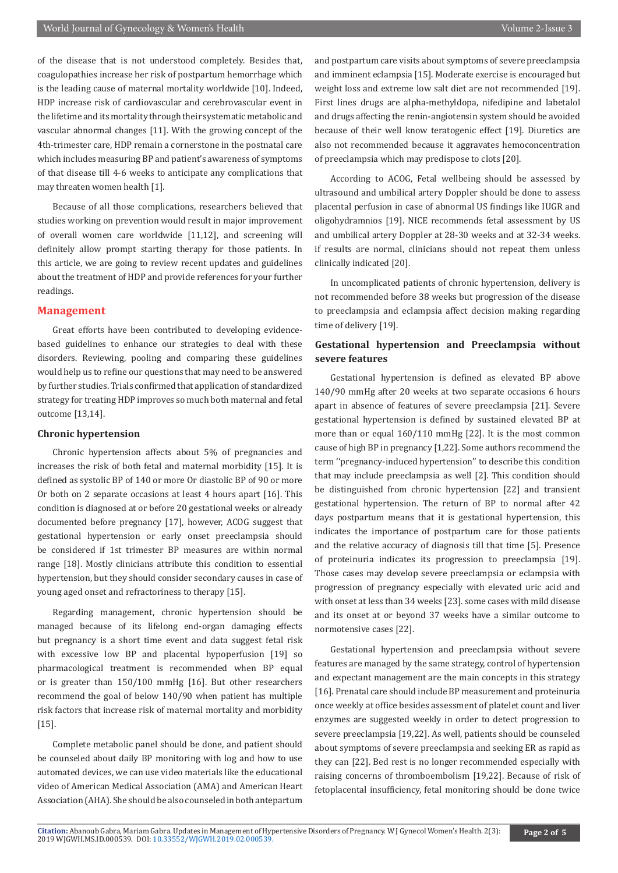of the disease that is not understood completely. Besides that, coagulopathies increase her risk of postpartum hemorrhage which is the leading cause of maternal mortality worldwide [10]. Indeed, HDP increase risk of cardiovascular and cerebrovascular event in the lifetime and its mortality through their systematic metabolic and vascular abnormal changes [11]. With the growing concept of the 4th-trimester care, HDP remain a cornerstone in the postnatal care which includes measuring BP and patient's awareness of symptoms of that disease till 4-6 weeks to anticipate any complications that may threaten women health [1].

Because of all those complications, researchers believed that studies working on prevention would result in major improvement of overall women care worldwide [11,12], and screening will definitely allow prompt starting therapy for those patients. In this article, we are going to review recent updates and guidelines about the treatment of HDP and provide references for your further readings.

# **Management**

Great efforts have been contributed to developing evidencebased guidelines to enhance our strategies to deal with these disorders. Reviewing, pooling and comparing these guidelines would help us to refine our questions that may need to be answered by further studies. Trials confirmed that application of standardized strategy for treating HDP improves so much both maternal and fetal outcome [13,14].

#### **Chronic hypertension**

Chronic hypertension affects about 5% of pregnancies and increases the risk of both fetal and maternal morbidity [15]. It is defined as systolic BP of 140 or more Or diastolic BP of 90 or more Or both on 2 separate occasions at least 4 hours apart [16]. This condition is diagnosed at or before 20 gestational weeks or already documented before pregnancy [17], however, ACOG suggest that gestational hypertension or early onset preeclampsia should be considered if 1st trimester BP measures are within normal range [18]. Mostly clinicians attribute this condition to essential hypertension, but they should consider secondary causes in case of young aged onset and refractoriness to therapy [15].

Regarding management, chronic hypertension should be managed because of its lifelong end-organ damaging effects but pregnancy is a short time event and data suggest fetal risk with excessive low BP and placental hypoperfusion [19] so pharmacological treatment is recommended when BP equal or is greater than 150/100 mmHg [16]. But other researchers recommend the goal of below 140/90 when patient has multiple risk factors that increase risk of maternal mortality and morbidity [15].

Complete metabolic panel should be done, and patient should be counseled about daily BP monitoring with log and how to use automated devices, we can use video materials like the educational video of American Medical Association (AMA) and American Heart Association (AHA). She should be also counseled in both antepartum

and postpartum care visits about symptoms of severe preeclampsia and imminent eclampsia [15]. Moderate exercise is encouraged but weight loss and extreme low salt diet are not recommended [19]. First lines drugs are alpha-methyldopa, nifedipine and labetalol and drugs affecting the renin-angiotensin system should be avoided because of their well know teratogenic effect [19]. Diuretics are also not recommended because it aggravates hemoconcentration of preeclampsia which may predispose to clots [20].

According to ACOG, Fetal wellbeing should be assessed by ultrasound and umbilical artery Doppler should be done to assess placental perfusion in case of abnormal US findings like IUGR and oligohydramnios [19]. NICE recommends fetal assessment by US and umbilical artery Doppler at 28-30 weeks and at 32-34 weeks. if results are normal, clinicians should not repeat them unless clinically indicated [20].

In uncomplicated patients of chronic hypertension, delivery is not recommended before 38 weeks but progression of the disease to preeclampsia and eclampsia affect decision making regarding time of delivery [19].

# **Gestational hypertension and Preeclampsia without severe features**

Gestational hypertension is defined as elevated BP above 140/90 mmHg after 20 weeks at two separate occasions 6 hours apart in absence of features of severe preeclampsia [21]. Severe gestational hypertension is defined by sustained elevated BP at more than or equal 160/110 mmHg [22]. It is the most common cause of high BP in pregnancy [1,22]. Some authors recommend the term ''pregnancy-induced hypertension'' to describe this condition that may include preeclampsia as well [2]. This condition should be distinguished from chronic hypertension [22] and transient gestational hypertension. The return of BP to normal after 42 days postpartum means that it is gestational hypertension, this indicates the importance of postpartum care for those patients and the relative accuracy of diagnosis till that time [5]. Presence of proteinuria indicates its progression to preeclampsia [19]. Those cases may develop severe preeclampsia or eclampsia with progression of pregnancy especially with elevated uric acid and with onset at less than 34 weeks [23]. some cases with mild disease and its onset at or beyond 37 weeks have a similar outcome to normotensive cases [22].

Gestational hypertension and preeclampsia without severe features are managed by the same strategy, control of hypertension and expectant management are the main concepts in this strategy [16]. Prenatal care should include BP measurement and proteinuria once weekly at office besides assessment of platelet count and liver enzymes are suggested weekly in order to detect progression to severe preeclampsia [19,22]. As well, patients should be counseled about symptoms of severe preeclampsia and seeking ER as rapid as they can [22]. Bed rest is no longer recommended especially with raising concerns of thromboembolism [19,22]. Because of risk of fetoplacental insufficiency, fetal monitoring should be done twice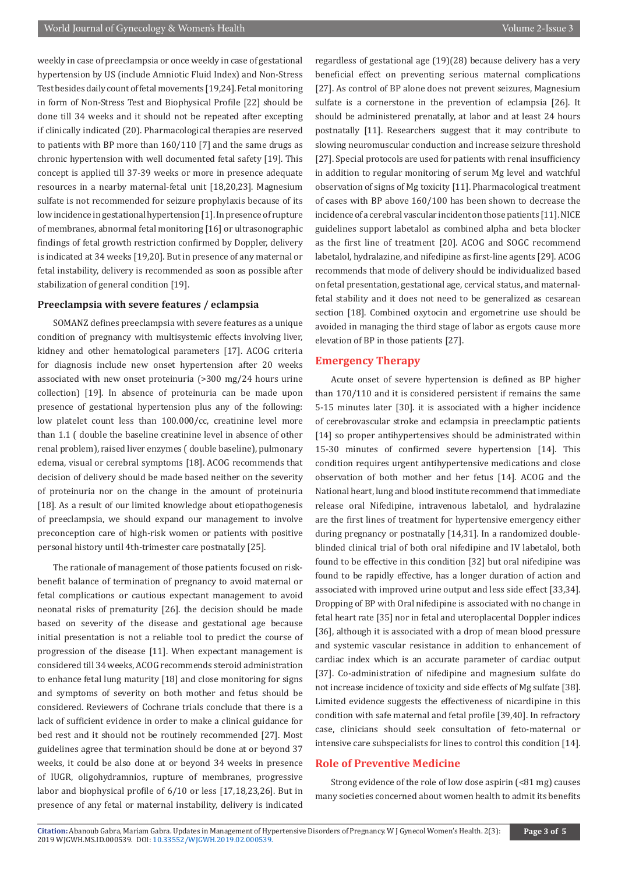weekly in case of preeclampsia or once weekly in case of gestational hypertension by US (include Amniotic Fluid Index) and Non-Stress Test besides daily count of fetal movements [19,24]. Fetal monitoring in form of Non-Stress Test and Biophysical Profile [22] should be done till 34 weeks and it should not be repeated after excepting if clinically indicated (20). Pharmacological therapies are reserved to patients with BP more than 160/110 [7] and the same drugs as chronic hypertension with well documented fetal safety [19]. This concept is applied till 37-39 weeks or more in presence adequate resources in a nearby maternal-fetal unit [18,20,23]. Magnesium sulfate is not recommended for seizure prophylaxis because of its low incidence in gestational hypertension [1]. In presence of rupture of membranes, abnormal fetal monitoring [16] or ultrasonographic findings of fetal growth restriction confirmed by Doppler, delivery is indicated at 34 weeks [19,20]. But in presence of any maternal or fetal instability, delivery is recommended as soon as possible after stabilization of general condition [19].

# **Preeclampsia with severe features / eclampsia**

SOMANZ defines preeclampsia with severe features as a unique condition of pregnancy with multisystemic effects involving liver, kidney and other hematological parameters [17]. ACOG criteria for diagnosis include new onset hypertension after 20 weeks associated with new onset proteinuria (>300 mg/24 hours urine collection) [19]. In absence of proteinuria can be made upon presence of gestational hypertension plus any of the following: low platelet count less than 100.000/cc, creatinine level more than 1.1 ( double the baseline creatinine level in absence of other renal problem), raised liver enzymes ( double baseline), pulmonary edema, visual or cerebral symptoms [18]. ACOG recommends that decision of delivery should be made based neither on the severity of proteinuria nor on the change in the amount of proteinuria [18]. As a result of our limited knowledge about etiopathogenesis of preeclampsia, we should expand our management to involve preconception care of high-risk women or patients with positive personal history until 4th-trimester care postnatally [25].

The rationale of management of those patients focused on riskbenefit balance of termination of pregnancy to avoid maternal or fetal complications or cautious expectant management to avoid neonatal risks of prematurity [26]. the decision should be made based on severity of the disease and gestational age because initial presentation is not a reliable tool to predict the course of progression of the disease [11]. When expectant management is considered till 34 weeks, ACOG recommends steroid administration to enhance fetal lung maturity [18] and close monitoring for signs and symptoms of severity on both mother and fetus should be considered. Reviewers of Cochrane trials conclude that there is a lack of sufficient evidence in order to make a clinical guidance for bed rest and it should not be routinely recommended [27]. Most guidelines agree that termination should be done at or beyond 37 weeks, it could be also done at or beyond 34 weeks in presence of IUGR, oligohydramnios, rupture of membranes, progressive labor and biophysical profile of 6/10 or less [17,18,23,26]. But in presence of any fetal or maternal instability, delivery is indicated

regardless of gestational age (19)(28) because delivery has a very beneficial effect on preventing serious maternal complications [27]. As control of BP alone does not prevent seizures, Magnesium sulfate is a cornerstone in the prevention of eclampsia [26]. It should be administered prenatally, at labor and at least 24 hours postnatally [11]. Researchers suggest that it may contribute to slowing neuromuscular conduction and increase seizure threshold [27]. Special protocols are used for patients with renal insufficiency in addition to regular monitoring of serum Mg level and watchful observation of signs of Mg toxicity [11]. Pharmacological treatment of cases with BP above 160/100 has been shown to decrease the incidence of a cerebral vascular incident on those patients [11]. NICE guidelines support labetalol as combined alpha and beta blocker as the first line of treatment [20]. ACOG and SOGC recommend labetalol, hydralazine, and nifedipine as first-line agents [29]. ACOG recommends that mode of delivery should be individualized based on fetal presentation, gestational age, cervical status, and maternalfetal stability and it does not need to be generalized as cesarean section [18]. Combined oxytocin and ergometrine use should be avoided in managing the third stage of labor as ergots cause more elevation of BP in those patients [27].

## **Emergency Therapy**

Acute onset of severe hypertension is defined as BP higher than 170/110 and it is considered persistent if remains the same 5-15 minutes later [30]. it is associated with a higher incidence of cerebrovascular stroke and eclampsia in preeclamptic patients [14] so proper antihypertensives should be administrated within 15-30 minutes of confirmed severe hypertension [14]. This condition requires urgent antihypertensive medications and close observation of both mother and her fetus [14]. ACOG and the National heart, lung and blood institute recommend that immediate release oral Nifedipine, intravenous labetalol, and hydralazine are the first lines of treatment for hypertensive emergency either during pregnancy or postnatally [14,31]. In a randomized doubleblinded clinical trial of both oral nifedipine and IV labetalol, both found to be effective in this condition [32] but oral nifedipine was found to be rapidly effective, has a longer duration of action and associated with improved urine output and less side effect [33,34]. Dropping of BP with Oral nifedipine is associated with no change in fetal heart rate [35] nor in fetal and uteroplacental Doppler indices [36], although it is associated with a drop of mean blood pressure and systemic vascular resistance in addition to enhancement of cardiac index which is an accurate parameter of cardiac output [37]. Co-administration of nifedipine and magnesium sulfate do not increase incidence of toxicity and side effects of Mg sulfate [38]. Limited evidence suggests the effectiveness of nicardipine in this condition with safe maternal and fetal profile [39,40]. In refractory case, clinicians should seek consultation of feto-maternal or intensive care subspecialists for lines to control this condition [14].

# **Role of Preventive Medicine**

Strong evidence of the role of low dose aspirin (<81 mg) causes many societies concerned about women health to admit its benefits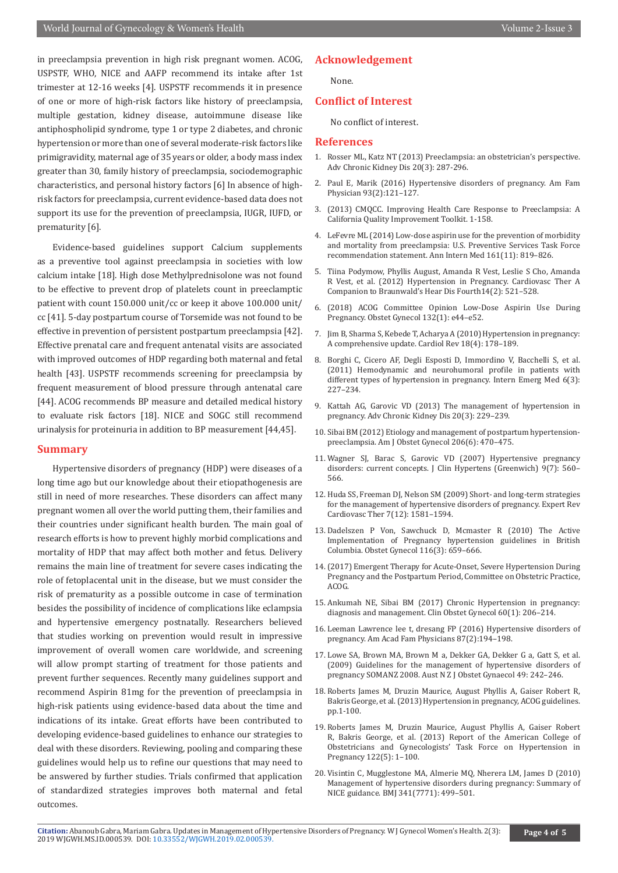in preeclampsia prevention in high risk pregnant women. ACOG, USPSTF, WHO, NICE and AAFP recommend its intake after 1st trimester at 12-16 weeks [4]. USPSTF recommends it in presence of one or more of high-risk factors like history of preeclampsia, multiple gestation, kidney disease, autoimmune disease like antiphospholipid syndrome, type 1 or type 2 diabetes, and chronic hypertension or more than one of several moderate-risk factors like primigravidity, maternal age of 35 years or older, a body mass index greater than 30, family history of preeclampsia, sociodemographic characteristics, and personal history factors [6] In absence of highrisk factors for preeclampsia, current evidence-based data does not support its use for the prevention of preeclampsia, IUGR, IUFD, or prematurity [6].

Evidence-based guidelines support Calcium supplements as a preventive tool against preeclampsia in societies with low calcium intake [18]. High dose Methylprednisolone was not found to be effective to prevent drop of platelets count in preeclamptic patient with count 150.000 unit/cc or keep it above 100.000 unit/ cc [41]. 5-day postpartum course of Torsemide was not found to be effective in prevention of persistent postpartum preeclampsia [42]. Effective prenatal care and frequent antenatal visits are associated with improved outcomes of HDP regarding both maternal and fetal health [43]. USPSTF recommends screening for preeclampsia by frequent measurement of blood pressure through antenatal care [44]. ACOG recommends BP measure and detailed medical history to evaluate risk factors [18]. NICE and SOGC still recommend urinalysis for proteinuria in addition to BP measurement [44,45].

# **Summary**

Hypertensive disorders of pregnancy (HDP) were diseases of a long time ago but our knowledge about their etiopathogenesis are still in need of more researches. These disorders can affect many pregnant women all over the world putting them, their families and their countries under significant health burden. The main goal of research efforts is how to prevent highly morbid complications and mortality of HDP that may affect both mother and fetus. Delivery remains the main line of treatment for severe cases indicating the role of fetoplacental unit in the disease, but we must consider the risk of prematurity as a possible outcome in case of termination besides the possibility of incidence of complications like eclampsia and hypertensive emergency postnatally. Researchers believed that studies working on prevention would result in impressive improvement of overall women care worldwide, and screening will allow prompt starting of treatment for those patients and prevent further sequences. Recently many guidelines support and recommend Aspirin 81mg for the prevention of preeclampsia in high-risk patients using evidence-based data about the time and indications of its intake. Great efforts have been contributed to developing evidence-based guidelines to enhance our strategies to deal with these disorders. Reviewing, pooling and comparing these guidelines would help us to refine our questions that may need to be answered by further studies. Trials confirmed that application of standardized strategies improves both maternal and fetal outcomes.

# **Acknowledgement**

None.

### **Conflict of Interest**

No conflict of interest.

#### **References**

- 1. [Rosser ML, Katz NT \(2013\) Preeclampsia: an obstetrician's perspective.](https://www.ncbi.nlm.nih.gov/pubmed/23928395) [Adv Chronic Kidney Dis 20\(3\): 287-296.](https://www.ncbi.nlm.nih.gov/pubmed/23928395)
- 2. Paul E, Marik (2016) Hypertensive disorders of pregnancy. Am Fam Physician 93(2):121–127.
- 3. (2013) CMQCC. Improving Health Care Response to Preeclampsia: A California Quality Improvement Toolkit. 1-158.
- 4. [LeFevre ML \(2014\) Low-dose aspirin use for the prevention of morbidity](https://www.ncbi.nlm.nih.gov/pubmed/25200125) [and mortality from preeclampsia: U.S. Preventive Services Task Force](https://www.ncbi.nlm.nih.gov/pubmed/25200125) [recommendation statement. Ann Intern Med 161\(11\): 819–826.](https://www.ncbi.nlm.nih.gov/pubmed/25200125)
- 5. Tiina Podymow, Phyllis August, Amanda R Vest, Leslie S Cho, Amanda R Vest, et al. (2012) Hypertension in Pregnancy. Cardiovasc Ther A Companion to Braunwald's Hear Dis Fourth14(2): 521–528.
- 6. [\(2018\) ACOG Committee Opinion Low-Dose Aspirin Use During](https://www.ncbi.nlm.nih.gov/pubmed/29939940) [Pregnancy. Obstet Gynecol 132\(1\): e44–e52.](https://www.ncbi.nlm.nih.gov/pubmed/29939940)
- 7. [Jim B, Sharma S, Kebede T, Acharya A \(2010\) Hypertension in pregnancy:](https://www.ncbi.nlm.nih.gov/pubmed/20539101) [A comprehensive update. Cardiol Rev 18\(4\): 178–189.](https://www.ncbi.nlm.nih.gov/pubmed/20539101)
- 8. [Borghi C, Cicero AF, Degli Esposti D, Immordino V, Bacchelli S, et al.](https://www.ncbi.nlm.nih.gov/pubmed/21116739) [\(2011\) Hemodynamic and neurohumoral profile in patients with](https://www.ncbi.nlm.nih.gov/pubmed/21116739) [different types of hypertension in pregnancy. Intern Emerg Med 6\(3\):](https://www.ncbi.nlm.nih.gov/pubmed/21116739) [227–234.](https://www.ncbi.nlm.nih.gov/pubmed/21116739)
- 9. Kattah AG, Garovic VD (2013) The management of hypertension in pregnancy. Adv Chronic Kidney Dis 20(3): 229–239.
- 10. [Sibai BM \(2012\) Etiology and management of postpartum hypertension](https://www.ncbi.nlm.nih.gov/pubmed/21963308)[preeclampsia. Am J Obstet Gynecol 206\(6\): 470–475.](https://www.ncbi.nlm.nih.gov/pubmed/21963308)
- 11. [Wagner SJ, Barac S, Garovic VD \(2007\) Hypertensive pregnancy](https://www.ncbi.nlm.nih.gov/pubmed/17617769) [disorders: current concepts. J Clin Hypertens \(Greenwich\) 9\(7\): 560–](https://www.ncbi.nlm.nih.gov/pubmed/17617769) [566.](https://www.ncbi.nlm.nih.gov/pubmed/17617769)
- 12. [Huda SS, Freeman DJ, Nelson SM \(2009\) Short- and long-term strategies](https://www.ncbi.nlm.nih.gov/pubmed/19954320) [for the management of hypertensive disorders of pregnancy. Expert Rev](https://www.ncbi.nlm.nih.gov/pubmed/19954320) [Cardiovasc Ther 7\(12\): 1581–1594.](https://www.ncbi.nlm.nih.gov/pubmed/19954320)
- 13. [Dadelszen P Von, Sawchuck D, Mcmaster R \(2010\) The Active](https://www.ncbi.nlm.nih.gov/pubmed/20733449) [Implementation of Pregnancy hypertension guidelines in British](https://www.ncbi.nlm.nih.gov/pubmed/20733449) [Columbia. Obstet Gynecol 116\(3\): 659–666.](https://www.ncbi.nlm.nih.gov/pubmed/20733449)
- 14.(2017) Emergent Therapy for Acute-Onset, Severe Hypertension During Pregnancy and the Postpartum Period, Committee on Obstetric Practice, ACOG.
- 15. [Ankumah NE, Sibai BM \(2017\) Chronic Hypertension in pregnancy:](https://www.ncbi.nlm.nih.gov/pubmed/28005588) [diagnosis and management. Clin Obstet Gynecol 60\(1\): 206–214.](https://www.ncbi.nlm.nih.gov/pubmed/28005588)
- 16. Leeman Lawrence lee t, dresang FP (2016) Hypertensive disorders of pregnancy. Am Acad Fam Physicians 87(2):194–198.
- 17. Lowe SA, Brown MA, Brown M a, Dekker GA, Dekker G a, Gatt S, et al. (2009) Guidelines for the management of hypertensive disorders of pregnancy SOMANZ 2008. Aust N Z J Obstet Gynaecol 49: 242–246.
- 18. Roberts James M, Druzin Maurice, August Phyllis A, Gaiser Robert R, Bakris George, et al. (2013) Hypertension in pregnancy, ACOG guidelines. pp.1-100.
- 19. Roberts James M, Druzin Maurice, August Phyllis A, Gaiser Robert R, Bakris George, et al. (2013) Report of the American College of Obstetricians and Gynecologists' Task Force on Hypertension in Pregnancy 122(5): 1–100.
- 20. [Visintin C, Mugglestone MA, Almerie MQ, Nherera LM, James D \(2010\)](https://www.ncbi.nlm.nih.gov/pubmed/20739360) [Management of hypertensive disorders during pregnancy: Summary of](https://www.ncbi.nlm.nih.gov/pubmed/20739360) [NICE guidance. BMJ 341\(7771\): 499–501.](https://www.ncbi.nlm.nih.gov/pubmed/20739360)